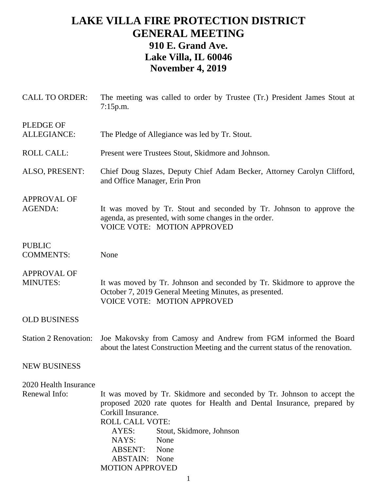## **LAKE VILLA FIRE PROTECTION DISTRICT GENERAL MEETING 910 E. Grand Ave. Lake Villa, IL 60046 November 4, 2019**

| <b>CALL TO ORDER:</b>                  | The meeting was called to order by Trustee (Tr.) President James Stout at<br>7:15p.m.                                                                                                                                                                                                                                              |
|----------------------------------------|------------------------------------------------------------------------------------------------------------------------------------------------------------------------------------------------------------------------------------------------------------------------------------------------------------------------------------|
| <b>PLEDGE OF</b><br><b>ALLEGIANCE:</b> | The Pledge of Allegiance was led by Tr. Stout.                                                                                                                                                                                                                                                                                     |
| <b>ROLL CALL:</b>                      | Present were Trustees Stout, Skidmore and Johnson.                                                                                                                                                                                                                                                                                 |
| ALSO, PRESENT:                         | Chief Doug Slazes, Deputy Chief Adam Becker, Attorney Carolyn Clifford,<br>and Office Manager, Erin Pron                                                                                                                                                                                                                           |
| <b>APPROVAL OF</b><br>AGENDA:          | It was moved by Tr. Stout and seconded by Tr. Johnson to approve the<br>agenda, as presented, with some changes in the order.<br><b>VOICE VOTE: MOTION APPROVED</b>                                                                                                                                                                |
| <b>PUBLIC</b><br><b>COMMENTS:</b>      | None                                                                                                                                                                                                                                                                                                                               |
| <b>APPROVAL OF</b><br><b>MINUTES:</b>  | It was moved by Tr. Johnson and seconded by Tr. Skidmore to approve the<br>October 7, 2019 General Meeting Minutes, as presented.<br><b>VOICE VOTE: MOTION APPROVED</b>                                                                                                                                                            |
| <b>OLD BUSINESS</b>                    |                                                                                                                                                                                                                                                                                                                                    |
| <b>Station 2 Renovation:</b>           | Joe Makovsky from Camosy and Andrew from FGM informed the Board<br>about the latest Construction Meeting and the current status of the renovation.                                                                                                                                                                                 |
| <b>NEW BUSINESS</b>                    |                                                                                                                                                                                                                                                                                                                                    |
| 2020 Health Insurance<br>Renewal Info: | It was moved by Tr. Skidmore and seconded by Tr. Johnson to accept the<br>proposed 2020 rate quotes for Health and Dental Insurance, prepared by<br>Corkill Insurance.<br><b>ROLL CALL VOTE:</b><br>AYES:<br>Stout, Skidmore, Johnson<br>NAYS:<br>None<br><b>ABSENT:</b><br>None<br><b>ABSTAIN:</b> None<br><b>MOTION APPROVED</b> |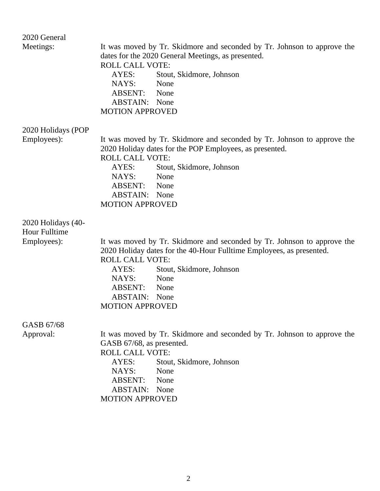| 2020 General                               |                                                                                                                                    |
|--------------------------------------------|------------------------------------------------------------------------------------------------------------------------------------|
| Meetings:                                  | It was moved by Tr. Skidmore and seconded by Tr. Johnson to approve the<br>dates for the 2020 General Meetings, as presented.      |
|                                            | <b>ROLL CALL VOTE:</b>                                                                                                             |
|                                            | AYES:<br>Stout, Skidmore, Johnson                                                                                                  |
|                                            | NAYS:<br>None                                                                                                                      |
|                                            | ABSENT: None                                                                                                                       |
|                                            | <b>ABSTAIN:</b> None                                                                                                               |
|                                            | <b>MOTION APPROVED</b>                                                                                                             |
| 2020 Holidays (POP                         |                                                                                                                                    |
| Employees):                                | It was moved by Tr. Skidmore and seconded by Tr. Johnson to approve the<br>2020 Holiday dates for the POP Employees, as presented. |
|                                            | <b>ROLL CALL VOTE:</b>                                                                                                             |
|                                            | Stout, Skidmore, Johnson<br>AYES:                                                                                                  |
|                                            | NAYS:<br>None                                                                                                                      |
|                                            | ABSENT: None                                                                                                                       |
|                                            | <b>ABSTAIN:</b> None                                                                                                               |
|                                            | <b>MOTION APPROVED</b>                                                                                                             |
| 2020 Holidays (40-<br><b>Hour Fulltime</b> |                                                                                                                                    |
| Employees):                                | It was moved by Tr. Skidmore and seconded by Tr. Johnson to approve the                                                            |
|                                            | 2020 Holiday dates for the 40-Hour Fulltime Employees, as presented.                                                               |
|                                            | <b>ROLL CALL VOTE:</b>                                                                                                             |
|                                            | AYES:<br>Stout, Skidmore, Johnson                                                                                                  |
|                                            | NAYS:<br>None                                                                                                                      |
|                                            | ABSENT:<br>None                                                                                                                    |
|                                            | <b>ABSTAIN:</b> None                                                                                                               |
|                                            | <b>MOTION APPROVED</b>                                                                                                             |
| GASB 67/68                                 |                                                                                                                                    |
| Approval:                                  | It was moved by Tr. Skidmore and seconded by Tr. Johnson to approve the                                                            |
|                                            | GASB 67/68, as presented.                                                                                                          |
|                                            | <b>ROLL CALL VOTE:</b>                                                                                                             |
|                                            | AYES:<br>Stout, Skidmore, Johnson                                                                                                  |
|                                            | NAYS:<br>None                                                                                                                      |
|                                            | <b>ABSENT:</b><br>None                                                                                                             |
|                                            | <b>ABSTAIN:</b><br>None                                                                                                            |
|                                            | <b>MOTION APPROVED</b>                                                                                                             |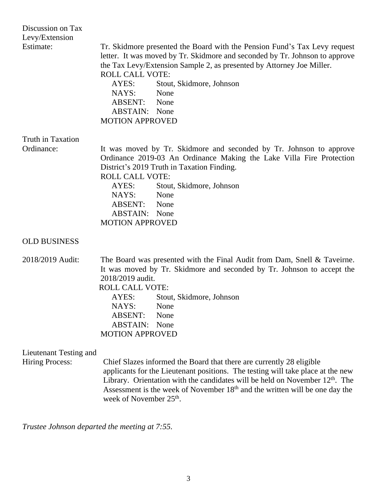| Discussion on Tax<br>Levy/Extension<br>Estimate: | Tr. Skidmore presented the Board with the Pension Fund's Tax Levy request<br>letter. It was moved by Tr. Skidmore and seconded by Tr. Johnson to approve<br>the Tax Levy/Extension Sample 2, as presented by Attorney Joe Miller.<br><b>ROLL CALL VOTE:</b><br>AYES:<br>Stout, Skidmore, Johnson<br>NAYS:<br>None<br>ABSENT: None<br><b>ABSTAIN:</b> None<br><b>MOTION APPROVED</b> |
|--------------------------------------------------|-------------------------------------------------------------------------------------------------------------------------------------------------------------------------------------------------------------------------------------------------------------------------------------------------------------------------------------------------------------------------------------|
| <b>Truth in Taxation</b>                         |                                                                                                                                                                                                                                                                                                                                                                                     |
| Ordinance:                                       | It was moved by Tr. Skidmore and seconded by Tr. Johnson to approve<br>Ordinance 2019-03 An Ordinance Making the Lake Villa Fire Protection<br>District's 2019 Truth in Taxation Finding.<br><b>ROLL CALL VOTE:</b><br>Stout, Skidmore, Johnson<br>AYES:<br>NAYS:<br>None<br>ABSENT: None<br><b>ABSTAIN:</b> None<br><b>MOTION APPROVED</b>                                         |
| <b>OLD BUSINESS</b>                              |                                                                                                                                                                                                                                                                                                                                                                                     |
| 2018/2019 Audit:                                 | The Board was presented with the Final Audit from Dam, Snell & Taveirne.<br>It was moved by Tr. Skidmore and seconded by Tr. Johnson to accept the<br>2018/2019 audit.<br><b>ROLL CALL VOTE:</b><br>AYES: Stout, Skidmore, Johnson<br>NAYS:<br>None<br><b>ABSENT:</b><br>None<br><b>ABSTAIN:</b> None<br><b>MOTION APPROVED</b>                                                     |
| Lieutenant Testing and<br><b>Hiring Process:</b> | Chief Slazes informed the Board that there are currently 28 eligible<br>applicants for the Lieutenant positions. The testing will take place at the new<br>Library. Orientation with the candidates will be held on November $12th$ . The<br>Assessment is the week of November 18 <sup>th</sup> and the written will be one day the<br>week of November 25 <sup>th</sup> .         |

*Trustee Johnson departed the meeting at 7:55.*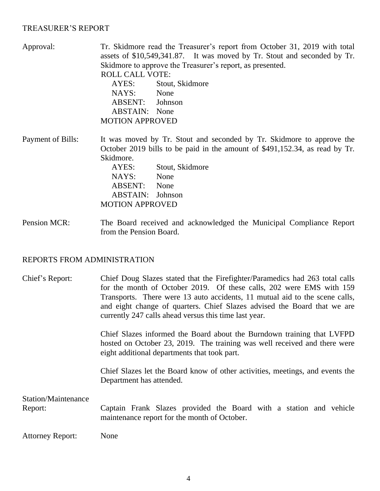## TREASURER'S REPORT

| Approval:         | Tr. Skidmore read the Treasurer's report from October 31, 2019 with total   |
|-------------------|-----------------------------------------------------------------------------|
|                   | assets of \$10,549,341.87. It was moved by Tr. Stout and seconded by Tr.    |
|                   | Skidmore to approve the Treasurer's report, as presented.                   |
|                   | <b>ROLL CALL VOTE:</b>                                                      |
|                   | AYES:<br>Stout, Skidmore                                                    |
|                   | NAYS: None                                                                  |
|                   | ABSENT: Johnson                                                             |
|                   | <b>ABSTAIN:</b> None                                                        |
|                   | <b>MOTION APPROVED</b>                                                      |
| Payment of Bills: | It was moved by Tr. Stout and seconded by Tr. Skidmore to approve the       |
|                   | October 2019 bills to be paid in the amount of \$491,152.34, as read by Tr. |
|                   | Skidmore.                                                                   |
|                   | AYES:<br>Stout, Skidmore                                                    |
|                   | NAYS:<br>None                                                               |
|                   | <b>ABSENT:</b><br>None                                                      |

Pension MCR: The Board received and acknowledged the Municipal Compliance Report from the Pension Board.

ABSTAIN: Johnson

MOTION APPROVED

## REPORTS FROM ADMINISTRATION

| Chief's Report:                | Chief Doug Slazes stated that the Firefighter/Paramedics had 263 total calls<br>for the month of October 2019. Of these calls, 202 were EMS with 159<br>Transports. There were 13 auto accidents, 11 mutual aid to the scene calls,<br>and eight change of quarters. Chief Slazes advised the Board that we are<br>currently 247 calls ahead versus this time last year. |
|--------------------------------|--------------------------------------------------------------------------------------------------------------------------------------------------------------------------------------------------------------------------------------------------------------------------------------------------------------------------------------------------------------------------|
|                                | Chief Slazes informed the Board about the Burndown training that LVFPD<br>hosted on October 23, 2019. The training was well received and there were<br>eight additional departments that took part.                                                                                                                                                                      |
|                                | Chief Slazes let the Board know of other activities, meetings, and events the<br>Department has attended.                                                                                                                                                                                                                                                                |
| Station/Maintenance<br>Report: | Captain Frank Slazes provided the Board with a station and vehicle<br>maintenance report for the month of October.                                                                                                                                                                                                                                                       |
| <b>Attorney Report:</b>        | None                                                                                                                                                                                                                                                                                                                                                                     |